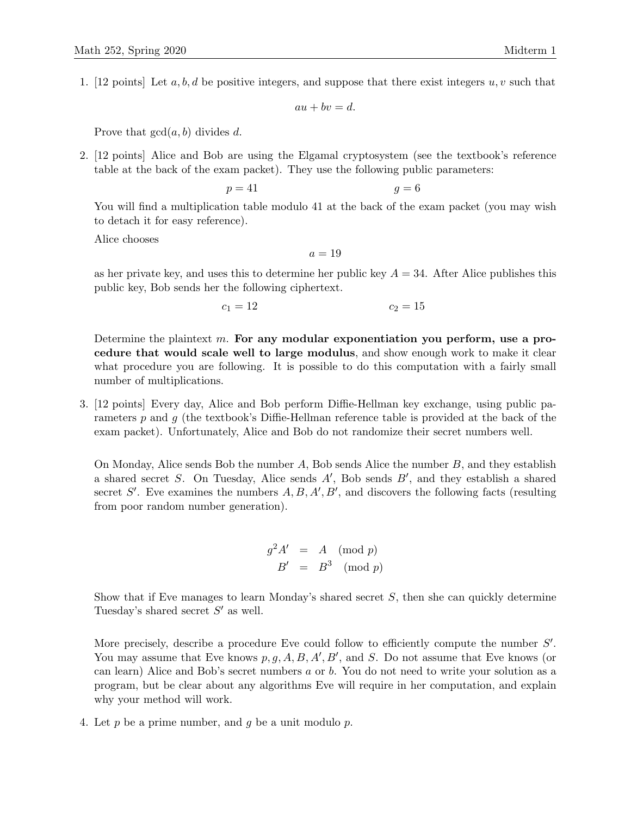1. [12 points] Let  $a, b, d$  be positive integers, and suppose that there exist integers  $u, v$  such that

$$
au + bv = d.
$$

Prove that  $gcd(a, b)$  divides d.

2. [12 points] Alice and Bob are using the Elgamal cryptosystem (see the textbook's reference table at the back of the exam packet). They use the following public parameters:

$$
p = 41 \qquad \qquad g = 6
$$

You will find a multiplication table modulo 41 at the back of the exam packet (you may wish to detach it for easy reference).

Alice chooses

 $a = 19$ 

as her private key, and uses this to determine her public key  $A = 34$ . After Alice publishes this public key, Bob sends her the following ciphertext.

$$
c_1 = 12 \qquad \qquad c_2 = 15
$$

Determine the plaintext  $m$ . For any modular exponentiation you perform, use a procedure that would scale well to large modulus, and show enough work to make it clear what procedure you are following. It is possible to do this computation with a fairly small number of multiplications.

3. [12 points] Every day, Alice and Bob perform Diffie-Hellman key exchange, using public parameters p and g (the textbook's Diffie-Hellman reference table is provided at the back of the exam packet). Unfortunately, Alice and Bob do not randomize their secret numbers well.

On Monday, Alice sends Bob the number  $A$ , Bob sends Alice the number  $B$ , and they establish a shared secret S. On Tuesday, Alice sends  $A'$ , Bob sends  $B'$ , and they establish a shared secret S'. Eve examines the numbers  $A, B, A', B'$ , and discovers the following facts (resulting from poor random number generation).

$$
g2A' = A \pmod{p}
$$
  

$$
B' = B3 \pmod{p}
$$

Show that if Eve manages to learn Monday's shared secret  $S$ , then she can quickly determine Tuesday's shared secret  $S'$  as well.

More precisely, describe a procedure Eve could follow to efficiently compute the number  $S'$ . You may assume that Eve knows  $p, g, A, B, A', B'$ , and S. Do not assume that Eve knows (or can learn) Alice and Bob's secret numbers a or b. You do not need to write your solution as a program, but be clear about any algorithms Eve will require in her computation, and explain why your method will work.

4. Let p be a prime number, and q be a unit modulo p.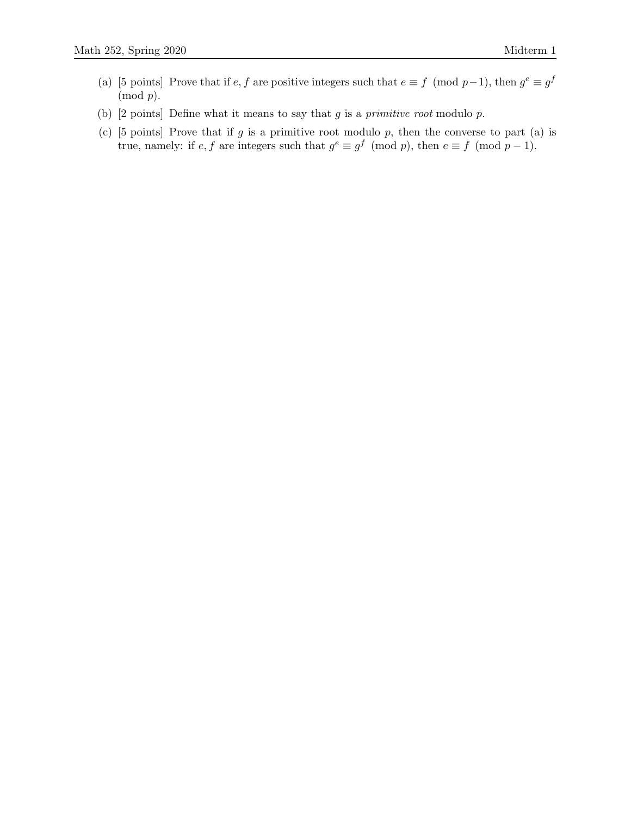- (a) [5 points] Prove that if  $e, f$  are positive integers such that  $e \equiv f \pmod{p-1}$ , then  $g^e \equiv g^f$  $\pmod{p}.$
- (b) [2 points] Define what it means to say that  $g$  is a *primitive root* modulo  $p$ .
- (c) [5 points] Prove that if g is a primitive root modulo p, then the converse to part (a) is true, namely: if  $e, f$  are integers such that  $g^e \equiv g^f \pmod{p}$ , then  $e \equiv f \pmod{p-1}$ .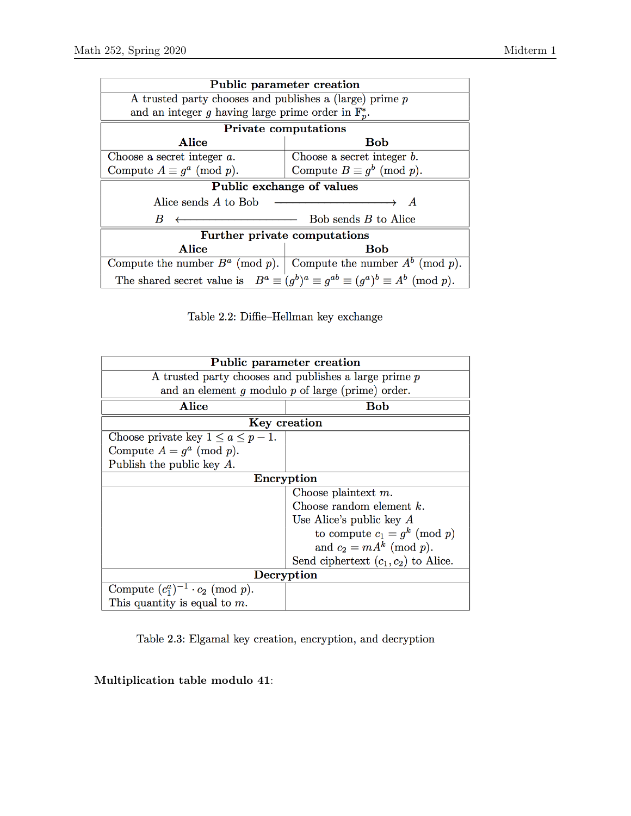| Public parameter creation                                                                          |                                                                     |  |  |  |  |  |  |  |  |  |  |
|----------------------------------------------------------------------------------------------------|---------------------------------------------------------------------|--|--|--|--|--|--|--|--|--|--|
| A trusted party chooses and publishes a (large) prime $p$                                          |                                                                     |  |  |  |  |  |  |  |  |  |  |
| and an integer g having large prime order in $\mathbb{F}_n^*$ .                                    |                                                                     |  |  |  |  |  |  |  |  |  |  |
| <b>Private computations</b>                                                                        |                                                                     |  |  |  |  |  |  |  |  |  |  |
| <b>Alice</b><br><b>Bob</b>                                                                         |                                                                     |  |  |  |  |  |  |  |  |  |  |
| Choose a secret integer $a$ .                                                                      | Choose a secret integer $b$ .                                       |  |  |  |  |  |  |  |  |  |  |
| Compute $A \equiv g^a \pmod{p}$ .                                                                  | Compute $B \equiv g^b \pmod{p}$ .                                   |  |  |  |  |  |  |  |  |  |  |
| Public exchange of values                                                                          |                                                                     |  |  |  |  |  |  |  |  |  |  |
| Alice sends A to Bob<br>$\overline{A}$                                                             |                                                                     |  |  |  |  |  |  |  |  |  |  |
| Bob sends B to Alice<br>B                                                                          |                                                                     |  |  |  |  |  |  |  |  |  |  |
| Further private computations                                                                       |                                                                     |  |  |  |  |  |  |  |  |  |  |
| Alice<br><b>Bob</b>                                                                                |                                                                     |  |  |  |  |  |  |  |  |  |  |
|                                                                                                    | Compute the number $B^a$ (mod p). Compute the number $A^b$ (mod p). |  |  |  |  |  |  |  |  |  |  |
| The shared secret value is $B^a \equiv (g^b)^a \equiv g^{ab} \equiv (g^a)^b \equiv A^b \pmod{p}$ . |                                                                     |  |  |  |  |  |  |  |  |  |  |

Table 2.2: Diffie-Hellman key exchange

| Public parameter creation                               |                                        |  |  |  |  |  |  |  |  |  |
|---------------------------------------------------------|----------------------------------------|--|--|--|--|--|--|--|--|--|
| A trusted party chooses and publishes a large prime $p$ |                                        |  |  |  |  |  |  |  |  |  |
| and an element $g$ modulo $p$ of large (prime) order.   |                                        |  |  |  |  |  |  |  |  |  |
| Alice                                                   | Bob                                    |  |  |  |  |  |  |  |  |  |
|                                                         | Key creation                           |  |  |  |  |  |  |  |  |  |
| Choose private key $1 \le a \le p-1$ .                  |                                        |  |  |  |  |  |  |  |  |  |
| Compute $A = g^a \pmod{p}$ .                            |                                        |  |  |  |  |  |  |  |  |  |
| Publish the public key $A$ .                            |                                        |  |  |  |  |  |  |  |  |  |
| Encryption                                              |                                        |  |  |  |  |  |  |  |  |  |
| Choose plaintext $m$ .                                  |                                        |  |  |  |  |  |  |  |  |  |
|                                                         | Choose random element $k$ .            |  |  |  |  |  |  |  |  |  |
|                                                         | Use Alice's public key $A$             |  |  |  |  |  |  |  |  |  |
|                                                         | to compute $c_1 = g^k \pmod{p}$        |  |  |  |  |  |  |  |  |  |
|                                                         | and $c_2 = mA^k \pmod{p}$ .            |  |  |  |  |  |  |  |  |  |
|                                                         | Send ciphertext $(c_1, c_2)$ to Alice. |  |  |  |  |  |  |  |  |  |
|                                                         | Decryption                             |  |  |  |  |  |  |  |  |  |
| Compute $(c_1^a)^{-1} \cdot c_2 \pmod{p}$ .             |                                        |  |  |  |  |  |  |  |  |  |
| This quantity is equal to $m$ .                         |                                        |  |  |  |  |  |  |  |  |  |

Table 2.3: Elgamal key creation, encryption, and decryption

Multiplication table modulo 41: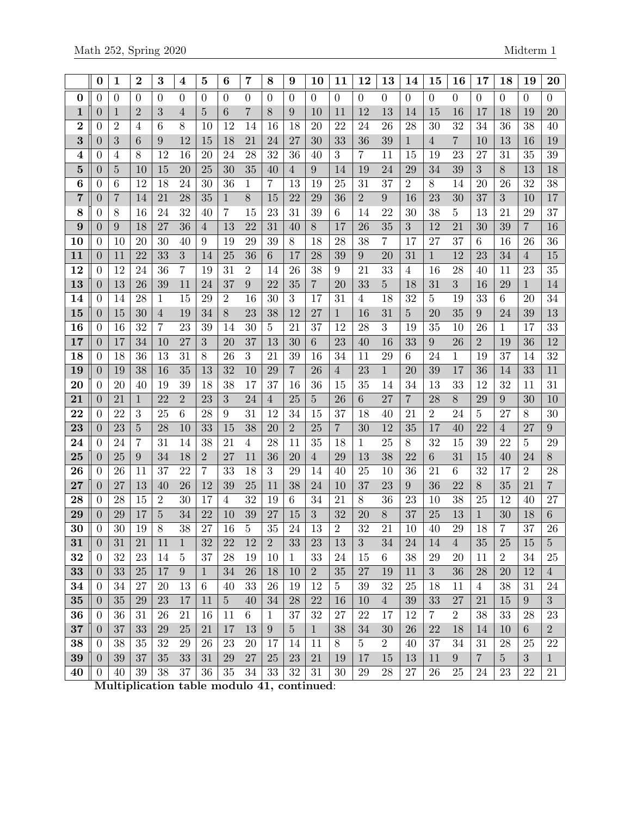|                         | 0                                | 1                         | $\boldsymbol{2}$    | 3                  | 4                   | 5                | 6                    | 7               | 8              | 9                  | 10               | 11                | $12\,$         | 13                   | 14             | 15                     | 16             | 17             | 18                   | 19                   | 20                   |
|-------------------------|----------------------------------|---------------------------|---------------------|--------------------|---------------------|------------------|----------------------|-----------------|----------------|--------------------|------------------|-------------------|----------------|----------------------|----------------|------------------------|----------------|----------------|----------------------|----------------------|----------------------|
| $\bf{0}$                | $\theta$                         | $\theta$                  | $\overline{0}$      | 0                  | $\theta$            | $\theta$         | $\overline{0}$       | $\theta$        | $\theta$       | 0                  | $\theta$         | $\overline{0}$    | $\theta$       | $\overline{0}$       | $\theta$       | $\overline{0}$         | $\overline{0}$ | $\theta$       | $\theta$             | $\overline{0}$       | $\overline{0}$       |
| $\mathbf{1}$            | $\boldsymbol{0}$                 | 1                         | $\overline{2}$      | 3                  | 4                   | $\overline{5}$   | 6                    | 7               | 8              | 9                  | <b>10</b>        | 11                | 12             | 13                   | 14             | 15                     | 16             | 17             | 18                   | 19                   | 20                   |
| $\bf{2}$                | 0                                | 2                         | $\overline{4}$      | 6                  | 8                   | 10               | 12                   | 14              | 16             | 18                 | 20               | 22                | 24             | 26                   | 28             | 30                     | 32             | 34             | 36                   | 38                   | 40                   |
| $\bf{3}$                | 0                                | 3                         | 6                   | 9                  | 12                  | 15               | 18                   | 21              | 24             | 27                 | 30               | 33                | 36             | 39                   | $\mathbf 1$    | $\overline{4}$         | 7              | 10             | 13                   | 16                   | 19                   |
| $\overline{\mathbf{4}}$ | $\theta$                         | 4                         | 8                   | 12                 | 16                  | 20               | 24                   | 28              | 32             | 36                 | 40               | 3                 | 7              | 11                   | 15             | 19                     | 23             | 27             | 31                   | 35                   | 39                   |
| 5                       | 0                                | 5                         | 10                  | 15                 | 20                  | 25               | 30                   | 35              | 40             | 4                  | 9                | 14                | 19             | 24                   | 29             | 34                     | 39             | 3              | 8                    | 13                   | 18                   |
| 6                       | $\theta$                         | 6                         | 12                  | 18                 | 24                  | 30               | 36                   | 1               | 7              | 13                 | 19               | 25                | 31             | 37                   | 2              | 8                      | 14             | 20             | 26                   | 32                   | 38                   |
| 7                       | $\overline{0}$                   | 7                         | 14                  | 21                 | 28                  | 35               | 1                    | 8               | 15             | 22                 | 29               | 36                | $\overline{2}$ | 9                    | 16             | 23                     | 30             | 37             | 3                    | 10                   | 17                   |
| 8                       | $\Omega$                         | 8                         | 16                  | 24                 | 32                  | 40               | 7                    | 15              | 23             | 31                 | 39               | 6                 | 14             | 22                   | 30             | 38                     | 5              | 13             | 21                   | 29                   | 37                   |
| 9                       | $\rm 0$                          | 9                         | 18                  | 27                 | 36                  | $\overline{4}$   | 13                   | 22              | 31             | 40                 | 8                | 17                | 26             | 35                   | 3              | 12                     | 21             | 30             | 39                   | 7                    | 16                   |
| 10                      | $\Omega$                         | 10                        | 20                  | 30                 | 40                  | 9                | 19                   | 29              | 39             | 8                  | 18               | 28                | 38             | 7                    | 17             | 27                     | 37             | 6              | 16                   | 26                   | 36                   |
| 11                      | $\overline{0}$                   | 11                        | 22                  | 33                 | 3                   | 14               | 25                   | 36              | 6              | 17                 | 28               | 39                | 9              | 20                   | 31             | $\mathbf 1$            | 12             | 23             | 34                   | $\overline{4}$       | 15                   |
| 12                      | $\theta$                         | 12                        | 24                  | 36                 | 7                   | 19               | 31                   | $\overline{2}$  | 14             | 26                 | 38               | 9                 | 21             | 33                   | 4              | 16                     | 28             | 40             | 11                   | 23                   | 35                   |
| 13                      | $\overline{0}$                   | 13                        | 26                  | 39                 | 11                  | 24               | 37                   | 9               | 22             | 35                 | 7                | 20                | 33             | $\overline{5}$       | 18             | 31                     | 3              | 16             | 29                   | $\mathbf{1}$         | 14                   |
| 14                      | $\overline{0}$                   | 14                        | 28                  | 1                  | 15                  | 29               | $\overline{2}$       | 16              | 30             | $\sqrt{3}$         | 17               | 31                | $\overline{4}$ | 18                   | 32             | $\overline{5}$         | 19             | 33             | 6                    | 20                   | 34                   |
| 15                      | $\overline{0}$                   | 15                        | 30                  | $\overline{4}$     | 19                  | 34               | 8                    | 23              | 38             | 12                 | 27               | $\mathbf{1}$      | 16             | 31                   | $\overline{5}$ | 20                     | 35             | 9              | 24                   | 39                   | 13                   |
| 16                      | $\Omega$                         | 16                        | 32                  | 7                  | 23                  | 39               | 14                   | 30              | 5              | 21                 | 37               | 12                | 28             | 3                    | 19             | 35                     | 10             | 26             | 1                    | 17                   | 33                   |
| 17                      | $\overline{0}$                   | 17                        | 34                  | 10                 | 27                  | $\boldsymbol{3}$ | 20                   | 37              | 13             | 30                 | 6                | 23                | 40             | 16                   | 33             | 9                      | 26             | $\overline{2}$ | 19                   | 36                   | 12                   |
| 18                      | $\theta$                         | 18                        | 36                  | 13                 | 31                  | 8                | 26                   | 3               | 21             | 39                 | 16               | 34                | 11             | 29                   | 6              | 24                     | 1              | 19             | 37                   | 14                   | 32                   |
| 19                      | $\overline{0}$                   | 19                        | 38                  | 16                 | 35                  | 13               | 32                   | 10              | 29             | $\overline{7}$     | 26               | $\overline{4}$    | 23             | $\mathbf{1}$         | 20             | 39                     | 17             | 36             | 14                   | 33                   | 11                   |
| 20                      | $\overline{0}$                   | 20                        | 40                  | 19                 | 39                  | 18               | 38                   | 17              | 37             | 16                 | 36               | 15                | 35             | 14                   | 34             | 13                     | 33             | 12             | 32                   | 11                   | 31                   |
| 21                      | $\boldsymbol{0}$                 | 21                        | $\mathbf 1$         | 22                 | $\sqrt{2}$          | 23               | 3                    | 24              | $\overline{4}$ | 25                 | 5                | 26                | 6              | 27                   | $\overline{7}$ | 28                     | 8              | 29             | 9                    | 30                   | 10                   |
| 22                      | 0                                | 22                        | 3                   | 25                 | 6                   | 28               | 9                    | 31              | 12             | 34                 | 15               | 37                | 18             | 40                   | 21             | $\overline{2}$         | 24             | 5              | 27                   | 8                    | 30                   |
| 23                      | $\theta$                         | 23                        | 5                   | 28                 | 10                  | 33               | 15                   | 38              | 20             | $\overline{2}$     | 25               | $\overline{7}$    | 30             | 12                   | 35             | 17                     | 40             | 22             | $\overline{4}$       | 27                   | $\boldsymbol{9}$     |
| 24                      | $\theta$                         | 24                        | 7                   | 31                 | 14                  | 38               | 21                   | 4               | 28             | 11                 | 35               | 18                | 1              | 25                   | 8              | 32                     | 15             | 39             | 22                   | 5                    | 29                   |
| 25                      | $\overline{0}$                   | 25                        | $9\phantom{.}$      | 34                 | 18                  | $\sqrt{2}$       | 27                   | 11              | 36             | 20                 | $\overline{4}$   | 29                | 13             | 38                   | 22             | $\sqrt{6}$             | 31             | 15             | 40                   | 24                   | 8                    |
| 26                      | $\overline{0}$                   | 26                        | 11                  | 37                 | 22                  | $\overline{7}$   | 33                   | 18              | 3              | 29                 | 14               | 40                | 25             | 10                   | 36             | 21                     | 6              | 32             | 17                   | $\overline{2}$       | 28                   |
| 27                      | $\overline{0}$                   | 27                        | 13                  | 40                 | 26                  | 12               | 39                   | 25              | 11             | 38                 | 24               | 10                | 37             | 23                   | 9              | 36                     | 22             | 8              | 35                   | 21                   | $\overline{7}$       |
| 28                      | $\Omega$                         | 28                        | 15                  | $\overline{2}$     | 30                  | 17               | $\overline{4}$       | 32              | 19             | 6                  | 34               | 21                | 8              | 36                   | 23             | 10                     | 38             | 25             | 12                   | 40                   | 27                   |
| 29                      | $\overline{0}$                   | 29                        | 17                  | $\overline{5}$     | 34                  | 22               | 10                   | 39              | 27             | 15                 | 3                | 32                | 20             | 8                    | 37             | 25                     | 13             | $\mathbf{1}$   | 30                   | 18                   | $\boldsymbol{6}$     |
| 30                      | $\overline{0}$                   | 30                        | 19                  | 8                  | 38                  | 27               | 16                   | 5               | 35             | $24\,$             | 13               | $\overline{2}$    | 32             | 21                   | 10             | 40                     | 29             | 18             | 7                    | 37                   | $26\,$               |
| 31                      | $\theta$                         | 31                        | 21                  | 11                 | $\mathbf{1}$        | 32               | 22                   | 12              | $\sqrt{2}$     | 33                 | 23               | 13                | 3              | 34                   | 24             | 14                     | 4              | 35             | 25                   | 15                   | 5                    |
| 32                      | $\overline{0}$                   | 32<br>33                  | $23\,$              | 14                 | $\overline{5}$<br>9 | 37               | 28<br>34             | 19              | 10             | $\mathbf{1}$<br>10 | 33<br>$\sqrt{2}$ | 24<br>35          | 15<br>27       | $6\,$<br>19          | 38             | 29<br>$\boldsymbol{3}$ | 20<br>36       | 11<br>28       | $\overline{2}$<br>20 | 34                   | 25<br>$\overline{4}$ |
| 33                      | $\overline{0}$                   |                           | 25                  | 17                 |                     | $\mathbf{1}$     |                      | <b>26</b>       | 18             |                    |                  |                   |                |                      | 11             |                        |                |                |                      | 12                   |                      |
| 34<br>35                | $\overline{0}$<br>$\overline{0}$ | 34<br>$35\,$              | 27<br>29            | 20<br>23           | 13<br>17            | 6<br>11          | 40<br>$\overline{5}$ | 33<br>40        | 26<br>34       | 19<br>28           | 12<br>22         | $5^{\circ}$<br>16 | 39<br>10       | 32<br>$\overline{4}$ | 25<br>39       | 18<br>33               | 11<br>27       | 4<br>21        | 38<br>15             | 31<br>$9\phantom{.}$ | 24<br>3              |
| 36                      | $\overline{0}$                   | 36                        | 31                  | 26                 | 21                  | 16               | 11                   | $6\phantom{.}6$ | $\mathbf{1}$   | 37                 | 32               | 27                | 22             | 17                   | 12             | 7                      | $\overline{2}$ | 38             | 33                   | 28                   | 23                   |
| 37                      | $\overline{0}$                   | 37                        | 33                  | 29                 | 25                  | 21               | 17                   | 13              | 9              | $\overline{5}$     | $\mathbf{1}$     | 38                | 34             | 30                   | 26             | 22                     | 18             | 14             | <b>10</b>            | 6                    | $\overline{2}$       |
| 38                      | $\boldsymbol{0}$                 | 38                        | 35                  | 32                 | 29                  | 26               | 23                   | 20              | 17             | 14                 | 11               | 8                 | $\overline{5}$ | $\overline{2}$       | 40             | 37                     | 34             | 31             | 28                   | 25                   | 22                   |
| 39                      | $\overline{0}$                   | 39                        | 37                  | 35                 | 33                  | 31               | 29                   | 27              | 25             | 23                 | 21               | 19                | 17             | 15                   | 13             | 11                     | 9              | $\overline{7}$ | $\overline{5}$       | $\sqrt{3}$           | $\mathbf{1}$         |
|                         |                                  |                           | 39                  | 38                 | 37                  | 36               | 35                   | 34              | 33             | $32\,$             | 31               | 30                | 29             | 28                   | 27             | 26                     | 25             | 24             | 23                   | 22                   | 21                   |
| 40                      | $\overline{0}$<br>$\overline{p}$ | 40<br>$\overline{\cdots}$ | $\overline{\cdots}$ | $\overline{\cdot}$ | $\overline{1}$      |                  | ┱                    |                 |                | $\cdot$ $\cdot$    |                  |                   |                |                      |                |                        |                |                |                      |                      |                      |

Multiplication table modulo 41, continued: